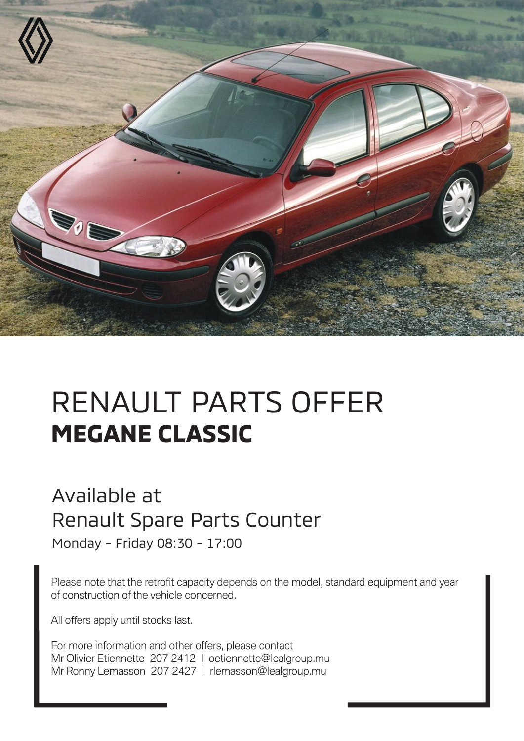

## RENAULT PARTS OFFER **MEGANE CLASSIC**

## Available at Renault Spare Parts Counter

Monday - Friday 08:30 - 17:00

Please note that the retrofit capacity depends on the model, standard equipment and year of construction of the vehicle concerned.

All offers apply until stocks last.

For more information and other offers, please contact Mr Olivier Etiennette 207 2412 | oetiennette@lealgroup.mu Mr Ronny Lemasson 207 2427 | rlemasson@lealgroup.mu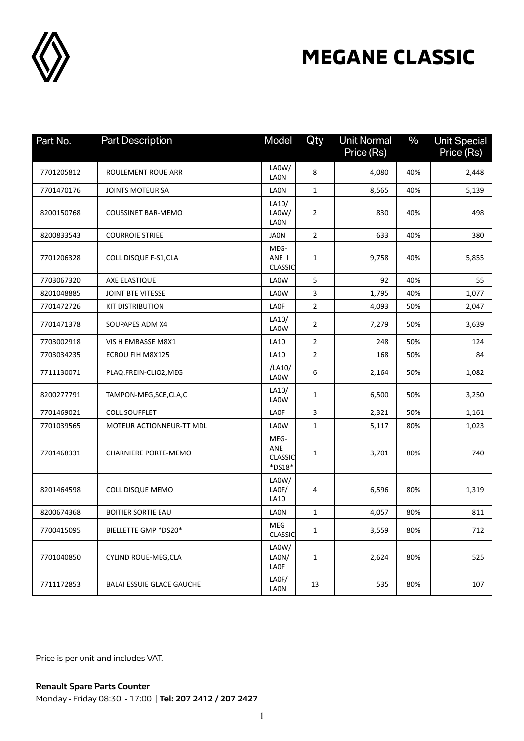

## **MEGANE CLASSIC**

| Part No.   | <b>Part Description</b>          | Model                                   | Qty            | <b>Unit Normal</b> | $\%$ | <b>Unit Special</b> |
|------------|----------------------------------|-----------------------------------------|----------------|--------------------|------|---------------------|
|            |                                  |                                         |                | Price (Rs)         |      | Price (Rs)          |
| 7701205812 | ROULEMENT ROUE ARR               | LA0W/<br><b>LAON</b>                    | 8              | 4,080              | 40%  | 2,448               |
| 7701470176 | JOINTS MOTEUR SA                 | <b>LAON</b>                             | $\mathbf{1}$   | 8,565              | 40%  | 5,139               |
| 8200150768 | <b>COUSSINET BAR-MEMO</b>        | LA10/<br>LA0W/<br><b>LAON</b>           | 2              | 830                | 40%  | 498                 |
| 8200833543 | <b>COURROIE STRIEE</b>           | <b>JAON</b>                             | $\overline{2}$ | 633                | 40%  | 380                 |
| 7701206328 | COLL DISQUE F-S1, CLA            | MEG-<br>ANE I<br><b>CLASSIC</b>         | 1              | 9,758              | 40%  | 5,855               |
| 7703067320 | AXE ELASTIQUE                    | LA0W                                    | 5              | 92                 | 40%  | 55                  |
| 8201048885 | <b>JOINT BTE VITESSE</b>         | LA0W                                    | 3              | 1,795              | 40%  | 1,077               |
| 7701472726 | <b>KIT DISTRIBUTION</b>          | LA0F                                    | $\overline{2}$ | 4,093              | 50%  | 2,047               |
| 7701471378 | SOUPAPES ADM X4                  | LA10/<br>LA0W                           | 2              | 7,279              | 50%  | 3,639               |
| 7703002918 | VIS H EMBASSE M8X1               | LA10                                    | $\overline{2}$ | 248                | 50%  | 124                 |
| 7703034235 | ECROU FIH M8X125                 | LA10                                    | $\overline{2}$ | 168                | 50%  | 84                  |
| 7711130071 | PLAQ.FREIN-CLIO2, MEG            | /LA10/<br>LA0W                          | 6              | 2,164              | 50%  | 1,082               |
| 8200277791 | TAMPON-MEG, SCE, CLA, C          | LA10/<br>LA0W                           | 1              | 6,500              | 50%  | 3,250               |
| 7701469021 | COLL.SOUFFLET                    | <b>LAOF</b>                             | 3              | 2,321              | 50%  | 1,161               |
| 7701039565 | MOTEUR ACTIONNEUR-TT MDL         | LA0W                                    | $\mathbf{1}$   | 5,117              | 80%  | 1,023               |
| 7701468331 | <b>CHARNIERE PORTE-MEMO</b>      | MEG-<br>ANE<br><b>CLASSIC</b><br>*DS18* | 1              | 3,701              | 80%  | 740                 |
| 8201464598 | COLL DISQUE MEMO                 | LA0W/<br>LAOF/<br>LA10                  | 4              | 6,596              | 80%  | 1,319               |
| 8200674368 | <b>BOITIER SORTIE EAU</b>        | <b>LAON</b>                             | $\mathbf{1}$   | 4,057              | 80%  | 811                 |
| 7700415095 | BIELLETTE GMP *DS20*             | MEG<br><b>CLASSIC</b>                   | 1              | 3,559              | 80%  | 712                 |
| 7701040850 | CYLIND ROUE-MEG, CLA             | LA0W/<br>LAON/<br>LAOF                  | $\mathbf{1}$   | 2,624              | 80%  | 525                 |
| 7711172853 | <b>BALAI ESSUIE GLACE GAUCHE</b> | LAOF/<br><b>LAON</b>                    | 13             | 535                | 80%  | 107                 |

Price is per unit and includes VAT.